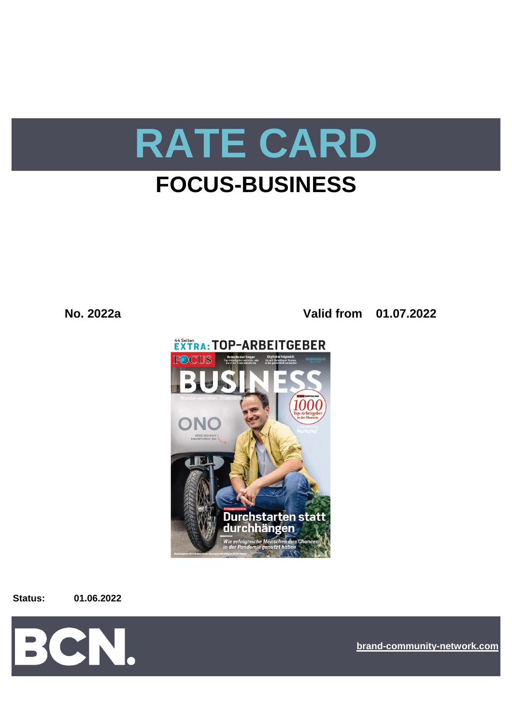

# **FOCUS-BUSINESS**

**No. 2022a Valid from 01.07.2022**



**Status: 01.06.2022**



**[bra](https://bcn.burda.com/)nd-community-network.com**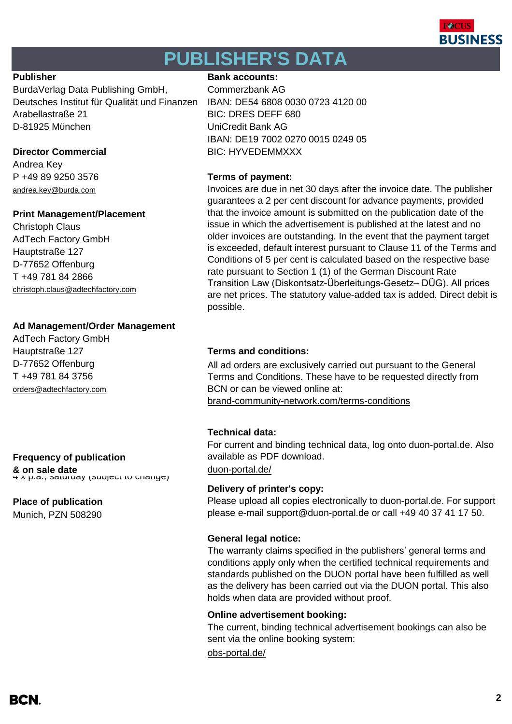

# **PUBLISHER'S DATA**

BurdaVerlag Data Publishing GmbH, Commerzbank AG Deutsches Institut für Qualität und Finanzen IBAN: DE54 6808 0030 0723 4120 00 Arabellastraße 21 BIC: DRES DEFF 680 D-81925 München UniCredit Bank AG

Andrea Key P +49 89 9250 3576 **Terms of payment:** andrea.key@burda.com

### **Print Management/Placement**

Christoph Claus AdTech Factory GmbH Hauptstraße 127 D-77652 Offenburg T +49 781 84 2866 [christoph.claus@adtechfactory.com](mailto:christoph.claus@adtechfactory.com)

### **Ad Management/Order Management**

AdTech Factory GmbH D-77652 Offenburg T +49 781 84 3756 [orders@adtechfactory.com](https://duon-portal.de/)

## **Frequency of publication**

**& on sale date** designate [duon-portal.de/](https://duon-portal.de/)<br>4 x p.a., saturday (subject to change)

#### **Place of publication**

Munich, PZN 508290

### **Publisher Bank accounts: Bank accounts:**

IBAN: DE19 7002 0270 0015 0249 05 **Director Commercial BIC: HYVEDEMMXXX** 

Invoices are due in net 30 days after the invoice date. The publisher guarantees a 2 per cent discount for advance payments, provided that the invoice amount is submitted on the publication date of the issue in which the advertisement is published at the latest and no older invoices are outstanding. In the event that the payment target is exceeded, default interest pursuant to Clause 11 of the Terms and Conditions of 5 per cent is calculated based on the respective base rate pursuant to Section 1 (1) of the German Discount Rate Transition Law (Diskontsatz-Überleitungs-Gesetz– DÜG). All prices are net prices. The statutory value-added tax is added. Direct debit is possible.

### Hauptstraße 127 **Terms and conditions:**

[brand-community-network.com/terms-conditions](https://bcn.burda.com/terms-conditions) All ad orders are exclusively carried out pursuant to the General Terms and Conditions. These have to be requested directly from BCN or can be viewed online at:

### **Technical data:**

For current and binding technical data, log onto duon-portal.de. Also available as PDF download.

#### **Delivery of printer's copy:**

Please upload all copies electronically to duon-portal.de. For support please e-mail support@duon-portal.de or call +49 40 37 41 17 50.

#### **General legal notice:**

The warranty claims specified in the publishers' general terms and conditions apply only when the certified technical requirements and standards published on the DUON portal have been fulfilled as well as the delivery has been carried out via the DUON portal. This also holds when data are provided without proof.

#### **Online advertisement booking:**

The current, binding technical advertisement bookings can also be sent via the online booking system:

[obs-portal.de/](https://www.obs-portal.de/)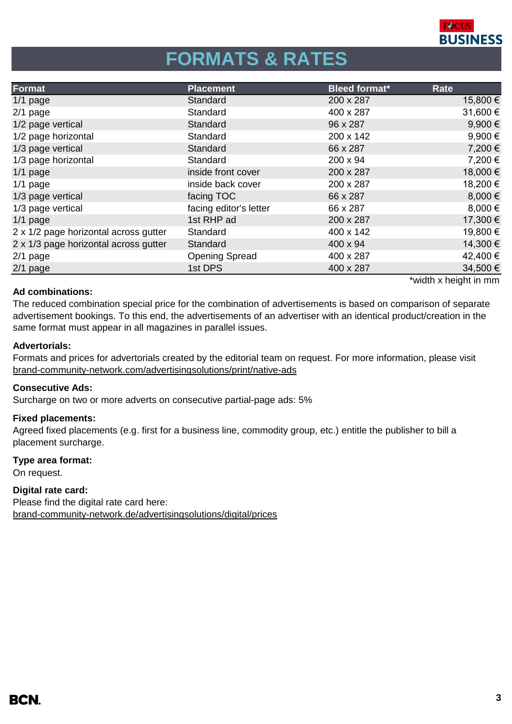

# **FORMATS & RATES**

| Format                                | <b>Placement</b>       | <b>Bleed format*</b> | Rate        |
|---------------------------------------|------------------------|----------------------|-------------|
| $1/1$ page                            | Standard               | 200 x 287            | 15,800 €    |
| $2/1$ page                            | Standard               | 400 x 287            | 31,600€     |
| 1/2 page vertical                     | Standard               | 96 x 287             | 9,900€      |
| 1/2 page horizontal                   | Standard               | 200 x 142            | 9,900€      |
| 1/3 page vertical                     | Standard               | 66 x 287             | 7,200 €     |
| 1/3 page horizontal                   | Standard               | 200 x 94             | 7,200€      |
| $1/1$ page                            | inside front cover     | 200 x 287            | 18,000€     |
| $1/1$ page                            | inside back cover      | 200 x 287            | 18,200 €    |
| 1/3 page vertical                     | facing TOC             | 66 x 287             | 8,000€      |
| 1/3 page vertical                     | facing editor's letter | 66 x 287             | $8,000 \in$ |
| $1/1$ page                            | 1st RHP ad             | 200 x 287            | 17,300 €    |
| 2 x 1/2 page horizontal across gutter | Standard               | 400 x 142            | 19,800€     |
| 2 x 1/3 page horizontal across gutter | Standard               | 400 x 94             | 14,300 €    |
| $2/1$ page                            | <b>Opening Spread</b>  | 400 x 287            | 42,400 €    |
| $2/1$ page                            | 1st DPS                | 400 x 287            | 34,500€     |

#### **Ad combinations:**

\*width x height in mm

The reduced combination special price for the combination of advertisements is based on comparison of separate advertisement bookings. To this end, the advertisements of an advertiser with an identical product/creation in the same format must appear in all magazines in parallel issues.

#### **Advertorials:**

[brand-community-network.com/advertisin](https://bcn.burda.com/advertisingsolutions/print/native-ads)gsolutions/print/native-ads Formats and prices for advertorials created by the editorial team on request. For more information, please visit

#### **Consecutive Ads:**

Surcharge on two or more adverts on consecutive partial-page ads: 5%

#### **Fixed placements:**

Agreed fixed placements (e.g. first for a business line, commodity group, etc.) entitle the publisher to bill a placement surcharge.

#### **Type area format:**

On request.

#### **Digital rate card:**

Please find the digital rate card here: [brand-community-network.de/advertisingsolutions/digital/prices](https://bcn.burda.com/advertisingsolutions/digital/prices)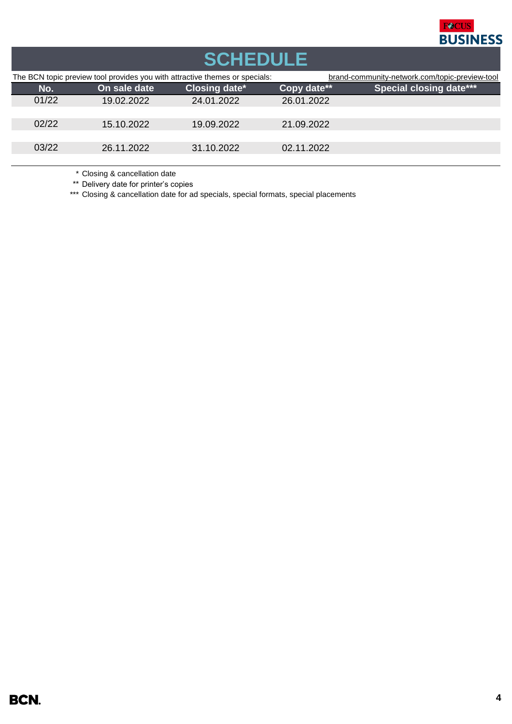

| <b>SCHEDULE</b>                                                             |       |              |                      |             |                                                |  |  |  |
|-----------------------------------------------------------------------------|-------|--------------|----------------------|-------------|------------------------------------------------|--|--|--|
| The BCN topic preview tool provides you with attractive themes or specials: |       |              |                      |             | brand-community-network.com/topic-preview-tool |  |  |  |
|                                                                             | No.   | On sale date | <b>Closing date*</b> | Copy date** | <b>Special closing date***</b>                 |  |  |  |
|                                                                             | 01/22 | 19.02.2022   | 24.01.2022           | 26.01.2022  |                                                |  |  |  |
|                                                                             |       |              |                      |             |                                                |  |  |  |
|                                                                             | 02/22 | 15.10.2022   | 19.09.2022           | 21.09.2022  |                                                |  |  |  |
|                                                                             |       |              |                      |             |                                                |  |  |  |
|                                                                             | 03/22 | 26.11.2022   | 31.10.2022           | 02.11.2022  |                                                |  |  |  |
|                                                                             |       |              |                      |             |                                                |  |  |  |

\* Closing & cancellation date

\*\* Delivery date for printer's copies

\*\*\* Closing & cancellation date for ad specials, special formats, special placements